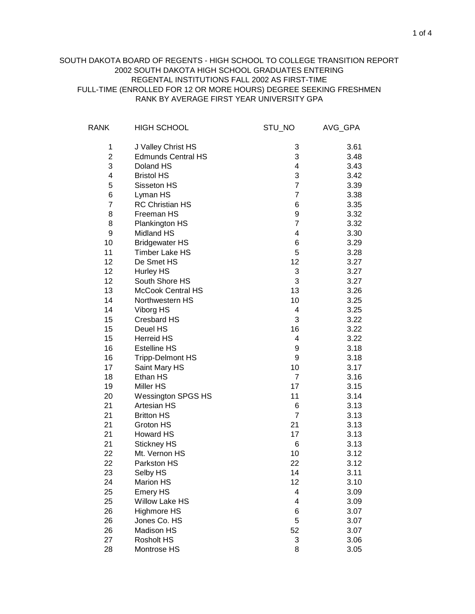## RANK BY AVERAGE FIRST YEAR UNIVERSITY GPA SOUTH DAKOTA BOARD OF REGENTS - HIGH SCHOOL TO COLLEGE TRANSITION REPORT 2002 SOUTH DAKOTA HIGH SCHOOL GRADUATES ENTERING REGENTAL INSTITUTIONS FALL 2002 AS FIRST-TIME FULL-TIME (ENROLLED FOR 12 OR MORE HOURS) DEGREE SEEKING FRESHMEN

| <b>RANK</b>    | <b>HIGH SCHOOL</b>        | STU_NO         | AVG_GPA |
|----------------|---------------------------|----------------|---------|
| 1              | J Valley Christ HS        | 3              | 3.61    |
| $\overline{2}$ | <b>Edmunds Central HS</b> | 3              | 3.48    |
| 3              | Doland HS                 | 4              | 3.43    |
| 4              | <b>Bristol HS</b>         | 3              | 3.42    |
| 5              | Sisseton HS               | $\overline{7}$ | 3.39    |
| 6              | Lyman HS                  | $\overline{7}$ | 3.38    |
| $\overline{7}$ | <b>RC Christian HS</b>    | 6              | 3.35    |
| 8              | Freeman HS                | 9              | 3.32    |
| 8              | Plankington HS            | $\overline{7}$ | 3.32    |
| 9              | Midland HS                | 4              | 3.30    |
| 10             | <b>Bridgewater HS</b>     | 6              | 3.29    |
| 11             | <b>Timber Lake HS</b>     | 5              | 3.28    |
| 12             | De Smet HS                | 12             | 3.27    |
| 12             | <b>Hurley HS</b>          | 3              | 3.27    |
| 12             | South Shore HS            | 3              | 3.27    |
| 13             | <b>McCook Central HS</b>  | 13             | 3.26    |
| 14             | Northwestern HS           | 10             | 3.25    |
| 14             | Viborg HS                 | 4              | 3.25    |
| 15             | <b>Cresbard HS</b>        | 3              | 3.22    |
| 15             | Deuel HS                  | 16             | 3.22    |
| 15             | <b>Herreid HS</b>         | 4              | 3.22    |
| 16             | <b>Estelline HS</b>       | 9              | 3.18    |
| 16             | <b>Tripp-Delmont HS</b>   | 9              | 3.18    |
| 17             | Saint Mary HS             | 10             | 3.17    |
| 18             | Ethan HS                  | $\overline{7}$ | 3.16    |
| 19             | Miller HS                 | 17             | 3.15    |
| 20             | <b>Wessington SPGS HS</b> | 11             | 3.14    |
| 21             | <b>Artesian HS</b>        | 6              | 3.13    |
| 21             | <b>Britton HS</b>         | $\overline{7}$ | 3.13    |
| 21             | Groton HS                 | 21             | 3.13    |
| 21             | <b>Howard HS</b>          | 17             | 3.13    |
| 21             | <b>Stickney HS</b>        | 6              | 3.13    |
| 22             | Mt. Vernon HS             | 10             | 3.12    |
| 22             | Parkston HS               | 22             | 3.12    |
| 23             | Selby HS                  | 14             | 3.11    |
| 24             | <b>Marion HS</b>          | 12             | 3.10    |
| 25             | <b>Emery HS</b>           | 4              | 3.09    |
| 25             | <b>Willow Lake HS</b>     | 4              | 3.09    |
| 26             | Highmore HS               | 6              | 3.07    |
| 26             | Jones Co. HS              | 5              | 3.07    |
| 26             | Madison HS                | 52             | 3.07    |
| 27             | <b>Rosholt HS</b>         | 3              | 3.06    |
| 28             | Montrose HS               | 8              | 3.05    |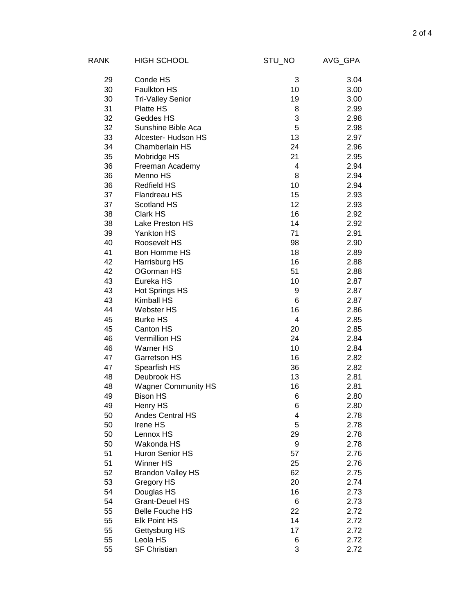| RANK | <b>HIGH SCHOOL</b>         | STU_NO | AVG_GPA |
|------|----------------------------|--------|---------|
| 29   | Conde HS                   | 3      | 3.04    |
| 30   | Faulkton HS                | 10     | 3.00    |
| 30   | <b>Tri-Valley Senior</b>   | 19     | 3.00    |
| 31   | Platte HS                  | 8      | 2.99    |
| 32   | Geddes HS                  | 3      | 2.98    |
| 32   | Sunshine Bible Aca         | 5      | 2.98    |
| 33   | Alcester- Hudson HS        | 13     | 2.97    |
| 34   | Chamberlain HS             | 24     | 2.96    |
| 35   | Mobridge HS                | 21     | 2.95    |
| 36   | Freeman Academy            | 4      | 2.94    |
| 36   | Menno HS                   | 8      | 2.94    |
| 36   | <b>Redfield HS</b>         | 10     | 2.94    |
| 37   | Flandreau HS               | 15     | 2.93    |
| 37   | Scotland HS                | 12     | 2.93    |
| 38   | Clark HS                   | 16     | 2.92    |
| 38   | Lake Preston HS            | 14     | 2.92    |
| 39   | Yankton HS                 | 71     | 2.91    |
| 40   | Roosevelt HS               | 98     | 2.90    |
| 41   | Bon Homme HS               | 18     | 2.89    |
| 42   | Harrisburg HS              | 16     | 2.88    |
| 42   | OGorman HS                 | 51     | 2.88    |
| 43   | Eureka HS                  | 10     | 2.87    |
| 43   | Hot Springs HS             | 9      | 2.87    |
| 43   | Kimball HS                 | 6      | 2.87    |
| 44   | <b>Webster HS</b>          | 16     | 2.86    |
| 45   | <b>Burke HS</b>            | 4      | 2.85    |
| 45   | Canton HS                  | 20     | 2.85    |
| 46   | <b>Vermillion HS</b>       | 24     | 2.84    |
| 46   | <b>Warner HS</b>           | 10     | 2.84    |
| 47   | Garretson HS               | 16     | 2.82    |
| 47   | Spearfish HS               | 36     | 2.82    |
| 48   | Deubrook HS                | 13     | 2.81    |
| 48   | <b>Wagner Community HS</b> | 16     | 2.81    |
| 49   | <b>Bison HS</b>            | 6      | 2.80    |
| 49   | Henry HS                   | 6      | 2.80    |
| 50   | Andes Central HS           | 4      | 2.78    |
| 50   | Irene HS                   | 5      | 2.78    |
| 50   | Lennox HS                  | 29     | 2.78    |
| 50   | Wakonda HS                 | 9      | 2.78    |
| 51   | Huron Senior HS            | 57     | 2.76    |
| 51   | <b>Winner HS</b>           | 25     | 2.76    |
| 52   | <b>Brandon Valley HS</b>   | 62     | 2.75    |
| 53   | Gregory HS                 | 20     | 2.74    |
| 54   | Douglas HS                 | 16     | 2.73    |
| 54   | Grant-Deuel HS             | 6      | 2.73    |
| 55   | <b>Belle Fouche HS</b>     | 22     | 2.72    |
| 55   | <b>Elk Point HS</b>        | 14     | 2.72    |
| 55   | Gettysburg HS              | 17     | 2.72    |
| 55   | Leola HS                   | 6      | 2.72    |
| 55   | <b>SF Christian</b>        | 3      | 2.72    |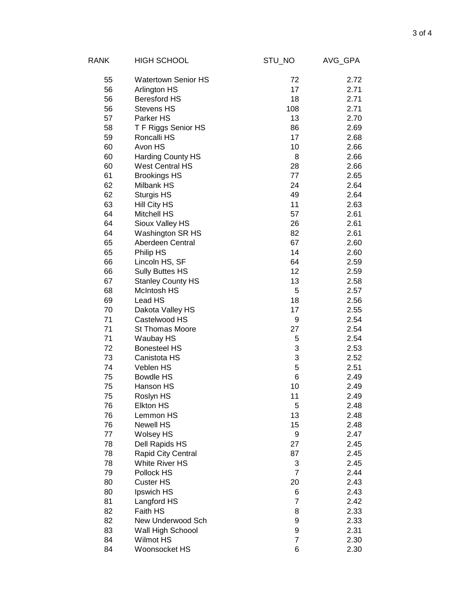| RANK | <b>HIGH SCHOOL</b>         | STU_NO         | AVG_GPA |
|------|----------------------------|----------------|---------|
| 55   | <b>Watertown Senior HS</b> | 72             | 2.72    |
| 56   | Arlington HS               | 17             | 2.71    |
| 56   | <b>Beresford HS</b>        | 18             | 2.71    |
| 56   | <b>Stevens HS</b>          | 108            | 2.71    |
| 57   | Parker HS                  | 13             | 2.70    |
| 58   | T F Riggs Senior HS        | 86             | 2.69    |
| 59   | Roncalli HS                | 17             | 2.68    |
| 60   | Avon HS                    | 10             | 2.66    |
| 60   | Harding County HS          | 8              | 2.66    |
| 60   | <b>West Central HS</b>     | 28             | 2.66    |
| 61   | <b>Brookings HS</b>        | 77             | 2.65    |
| 62   | Milbank HS                 | 24             | 2.64    |
| 62   | Sturgis HS                 | 49             | 2.64    |
| 63   | Hill City HS               | 11             | 2.63    |
| 64   | <b>Mitchell HS</b>         | 57             | 2.61    |
| 64   | Sioux Valley HS            | 26             | 2.61    |
| 64   | Washington SR HS           | 82             | 2.61    |
| 65   | Aberdeen Central           | 67             | 2.60    |
| 65   | Philip HS                  | 14             | 2.60    |
| 66   | Lincoln HS, SF             | 64             | 2.59    |
| 66   | <b>Sully Buttes HS</b>     | 12             | 2.59    |
| 67   | <b>Stanley County HS</b>   | 13             | 2.58    |
| 68   | <b>McIntosh HS</b>         | 5              | 2.57    |
| 69   | Lead HS                    | 18             | 2.56    |
| 70   | Dakota Valley HS           | 17             | 2.55    |
| 71   | Castelwood HS              | 9              | 2.54    |
| 71   | <b>St Thomas Moore</b>     | 27             | 2.54    |
| 71   | Waubay HS                  | 5              | 2.54    |
| 72   | <b>Bonesteel HS</b>        | 3              | 2.53    |
| 73   | Canistota HS               | 3              | 2.52    |
| 74   | Veblen HS                  | 5              | 2.51    |
| 75   | <b>Bowdle HS</b>           | 6              | 2.49    |
| 75   | Hanson HS                  | 10             | 2.49    |
| 75   | Roslyn HS                  | 11             | 2.49    |
| 76   | Elkton HS                  | 5              | 2.48    |
| 76   | Lemmon HS                  | 13             | 2.48    |
| 76   | <b>Newell HS</b>           | 15             | 2.48    |
| 77   | <b>Wolsey HS</b>           | 9              | 2.47    |
| 78   | Dell Rapids HS             | 27             | 2.45    |
| 78   | Rapid City Central         | 87             | 2.45    |
| 78   | <b>White River HS</b>      | 3              | 2.45    |
| 79   | Pollock HS                 | 7              | 2.44    |
| 80   | <b>Custer HS</b>           | 20             | 2.43    |
| 80   | Ipswich HS                 | 6              | 2.43    |
| 81   | Langford HS                | $\overline{7}$ | 2.42    |
| 82   | Faith HS                   | 8              | 2.33    |
| 82   | New Underwood Sch          | 9              | 2.33    |
| 83   | Wall High Schoool          | 9              | 2.31    |
| 84   | <b>Wilmot HS</b>           | $\overline{7}$ | 2.30    |
| 84   | Woonsocket HS              | 6              | 2.30    |